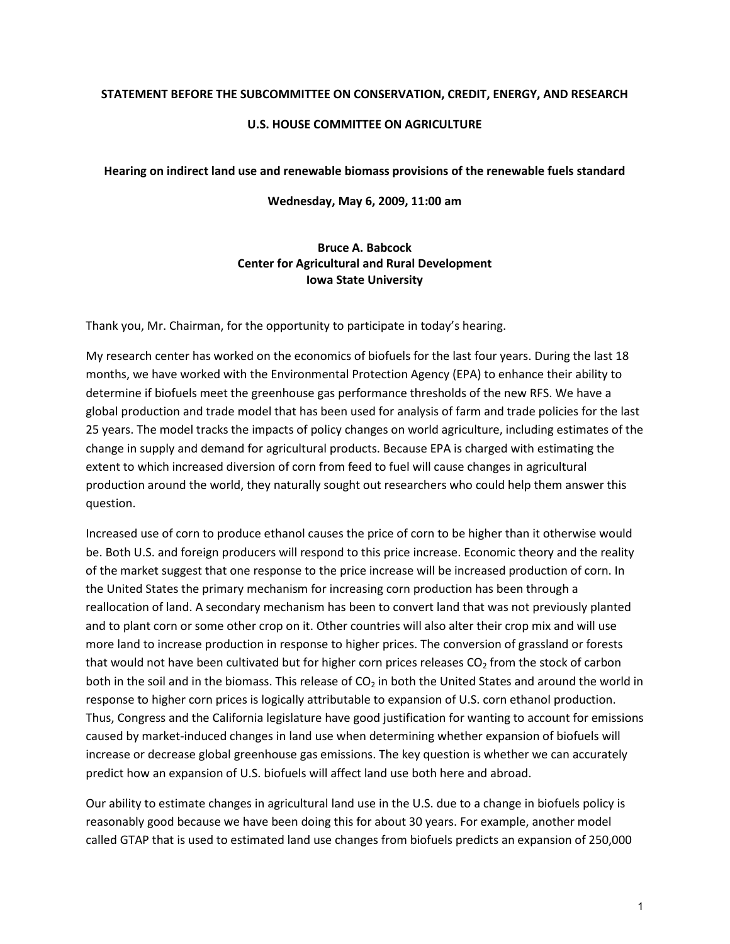## **STATEMENT BEFORE THE SUBCOMMITTEE ON CONSERVATION, CREDIT, ENERGY, AND RESEARCH**

## **U.S. HOUSE COMMITTEE ON AGRICULTURE**

## **Hearing on indirect land use and renewable biomass provisions of the renewable fuels standard**

**Wednesday, May 6, 2009, 11:00 am**

## **Bruce A. Babcock Center for Agricultural and Rural Development Iowa State University**

Thank you, Mr. Chairman, for the opportunity to participate in today's hearing.

My research center has worked on the economics of biofuels for the last four years. During the last 18 months, we have worked with the Environmental Protection Agency (EPA) to enhance their ability to determine if biofuels meet the greenhouse gas performance thresholds of the new RFS. We have a global production and trade model that has been used for analysis of farm and trade policies for the last 25 years. The model tracks the impacts of policy changes on world agriculture, including estimates of the change in supply and demand for agricultural products. Because EPA is charged with estimating the extent to which increased diversion of corn from feed to fuel will cause changes in agricultural production around the world, they naturally sought out researchers who could help them answer this question.

Increased use of corn to produce ethanol causes the price of corn to be higher than it otherwise would be. Both U.S. and foreign producers will respond to this price increase. Economic theory and the reality of the market suggest that one response to the price increase will be increased production of corn. In the United States the primary mechanism for increasing corn production has been through a reallocation of land. A secondary mechanism has been to convert land that was not previously planted and to plant corn or some other crop on it. Other countries will also alter their crop mix and will use more land to increase production in response to higher prices. The conversion of grassland or forests that would not have been cultivated but for higher corn prices releases  $CO<sub>2</sub>$  from the stock of carbon both in the soil and in the biomass. This release of  $CO<sub>2</sub>$  in both the United States and around the world in response to higher corn prices is logically attributable to expansion of U.S. corn ethanol production. Thus, Congress and the California legislature have good justification for wanting to account for emissions caused by market-induced changes in land use when determining whether expansion of biofuels will increase or decrease global greenhouse gas emissions. The key question is whether we can accurately predict how an expansion of U.S. biofuels will affect land use both here and abroad.

Our ability to estimate changes in agricultural land use in the U.S. due to a change in biofuels policy is reasonably good because we have been doing this for about 30 years. For example, another model called GTAP that is used to estimated land use changes from biofuels predicts an expansion of 250,000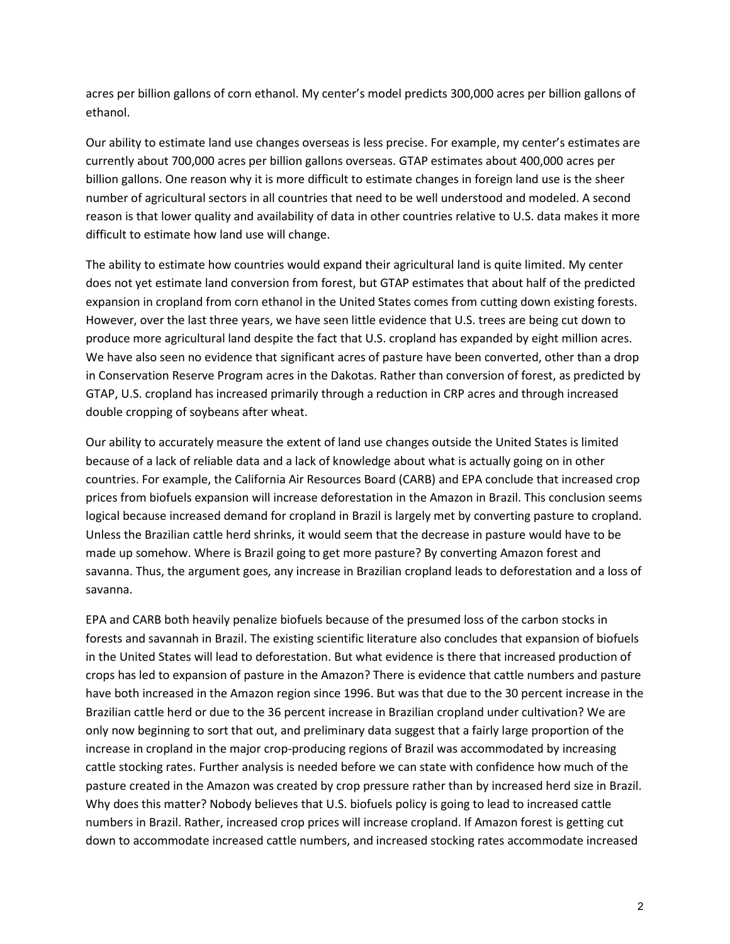acres per billion gallons of corn ethanol. My center's model predicts 300,000 acres per billion gallons of ethanol.

Our ability to estimate land use changes overseas is less precise. For example, my center's estimates are currently about 700,000 acres per billion gallons overseas. GTAP estimates about 400,000 acres per billion gallons. One reason why it is more difficult to estimate changes in foreign land use is the sheer number of agricultural sectors in all countries that need to be well understood and modeled. A second reason is that lower quality and availability of data in other countries relative to U.S. data makes it more difficult to estimate how land use will change.

The ability to estimate how countries would expand their agricultural land is quite limited. My center does not yet estimate land conversion from forest, but GTAP estimates that about half of the predicted expansion in cropland from corn ethanol in the United States comes from cutting down existing forests. However, over the last three years, we have seen little evidence that U.S. trees are being cut down to produce more agricultural land despite the fact that U.S. cropland has expanded by eight million acres. We have also seen no evidence that significant acres of pasture have been converted, other than a drop in Conservation Reserve Program acres in the Dakotas. Rather than conversion of forest, as predicted by GTAP, U.S. cropland has increased primarily through a reduction in CRP acres and through increased double cropping of soybeans after wheat.

Our ability to accurately measure the extent of land use changes outside the United States is limited because of a lack of reliable data and a lack of knowledge about what is actually going on in other countries. For example, the California Air Resources Board (CARB) and EPA conclude that increased crop prices from biofuels expansion will increase deforestation in the Amazon in Brazil. This conclusion seems logical because increased demand for cropland in Brazil is largely met by converting pasture to cropland. Unless the Brazilian cattle herd shrinks, it would seem that the decrease in pasture would have to be made up somehow. Where is Brazil going to get more pasture? By converting Amazon forest and savanna. Thus, the argument goes, any increase in Brazilian cropland leads to deforestation and a loss of savanna.

EPA and CARB both heavily penalize biofuels because of the presumed loss of the carbon stocks in forests and savannah in Brazil. The existing scientific literature also concludes that expansion of biofuels in the United States will lead to deforestation. But what evidence is there that increased production of crops has led to expansion of pasture in the Amazon? There is evidence that cattle numbers and pasture have both increased in the Amazon region since 1996. But was that due to the 30 percent increase in the Brazilian cattle herd or due to the 36 percent increase in Brazilian cropland under cultivation? We are only now beginning to sort that out, and preliminary data suggest that a fairly large proportion of the increase in cropland in the major crop-producing regions of Brazil was accommodated by increasing cattle stocking rates. Further analysis is needed before we can state with confidence how much of the pasture created in the Amazon was created by crop pressure rather than by increased herd size in Brazil. Why does this matter? Nobody believes that U.S. biofuels policy is going to lead to increased cattle numbers in Brazil. Rather, increased crop prices will increase cropland. If Amazon forest is getting cut down to accommodate increased cattle numbers, and increased stocking rates accommodate increased